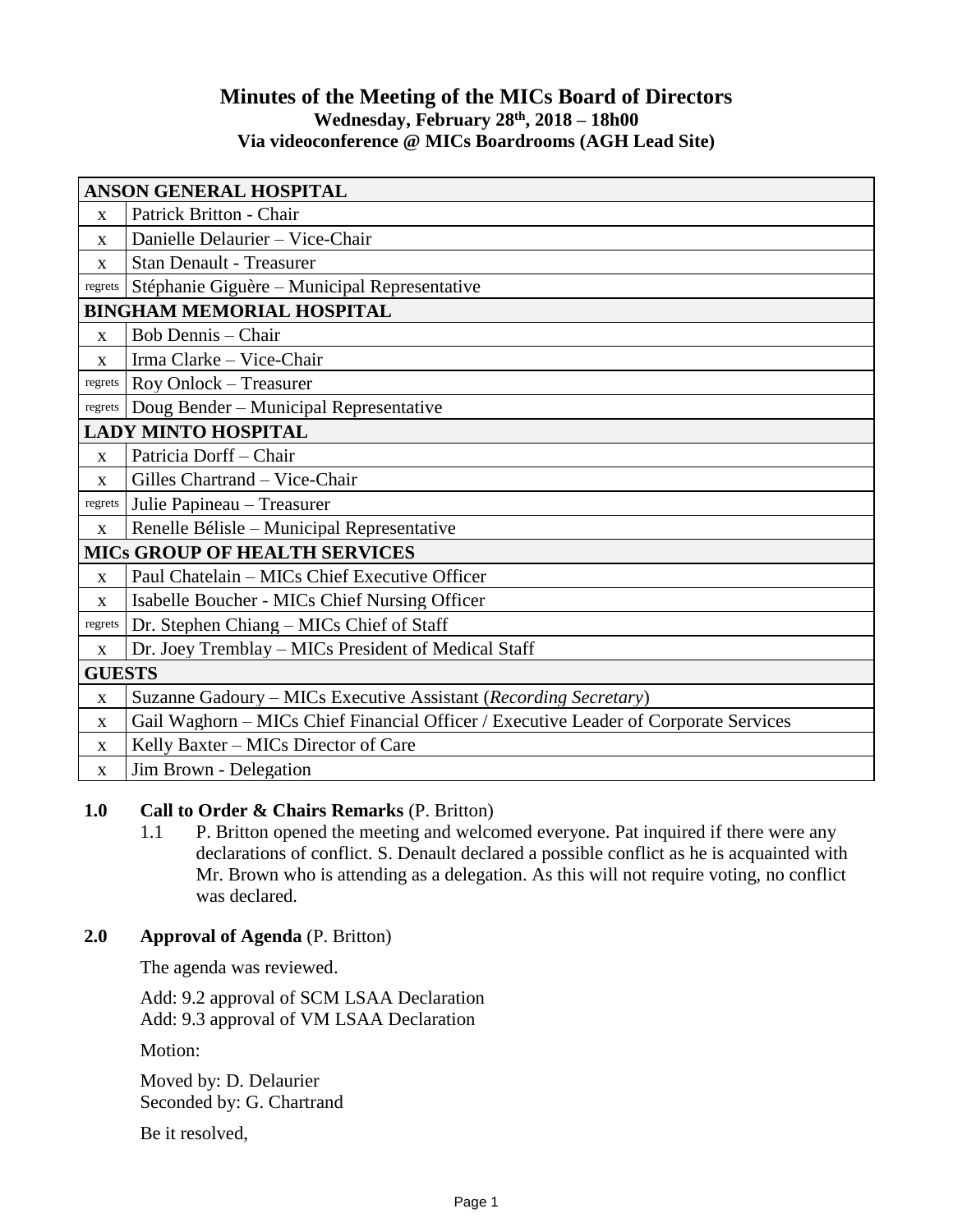## **Minutes of the Meeting of the MICs Board of Directors Wednesday, February 28 th, 2018 – 18h00 Via videoconference @ MICs Boardrooms (AGH Lead Site)**

| <b>ANSON GENERAL HOSPITAL</b>        |                                                                                      |
|--------------------------------------|--------------------------------------------------------------------------------------|
| X                                    | Patrick Britton - Chair                                                              |
| $\mathbf{x}$                         | Danielle Delaurier - Vice-Chair                                                      |
| X                                    | <b>Stan Denault - Treasurer</b>                                                      |
| regrets                              | Stéphanie Giguère – Municipal Representative                                         |
| <b>BINGHAM MEMORIAL HOSPITAL</b>     |                                                                                      |
| X                                    | <b>Bob Dennis</b> - Chair                                                            |
| X                                    | Irma Clarke - Vice-Chair                                                             |
| regrets                              | Roy Onlock - Treasurer                                                               |
| regrets                              | Doug Bender - Municipal Representative                                               |
| <b>LADY MINTO HOSPITAL</b>           |                                                                                      |
| X                                    | Patricia Dorff-Chair                                                                 |
| $\mathbf{x}$                         | Gilles Chartrand - Vice-Chair                                                        |
| regrets                              | Julie Papineau - Treasurer                                                           |
| X                                    | Renelle Bélisle – Municipal Representative                                           |
| <b>MICS GROUP OF HEALTH SERVICES</b> |                                                                                      |
| $\mathbf X$                          | Paul Chatelain - MICs Chief Executive Officer                                        |
| $\mathbf{x}$                         | Isabelle Boucher - MICs Chief Nursing Officer                                        |
| regrets                              | Dr. Stephen Chiang – MICs Chief of Staff                                             |
| $\mathbf X$                          | Dr. Joey Tremblay – MICs President of Medical Staff                                  |
| <b>GUESTS</b>                        |                                                                                      |
| $\mathbf X$                          | Suzanne Gadoury - MICs Executive Assistant (Recording Secretary)                     |
| $\mathbf X$                          | Gail Waghorn – MICs Chief Financial Officer / Executive Leader of Corporate Services |
| X                                    | Kelly Baxter – MICs Director of Care                                                 |
| $\mathbf X$                          | Jim Brown - Delegation                                                               |

## **1.0 Call to Order & Chairs Remarks** (P. Britton)

1.1 P. Britton opened the meeting and welcomed everyone. Pat inquired if there were any declarations of conflict. S. Denault declared a possible conflict as he is acquainted with Mr. Brown who is attending as a delegation. As this will not require voting, no conflict was declared.

## **2.0 Approval of Agenda** (P. Britton)

The agenda was reviewed.

Add: 9.2 approval of SCM LSAA Declaration Add: 9.3 approval of VM LSAA Declaration

Motion:

Moved by: D. Delaurier Seconded by: G. Chartrand

Be it resolved,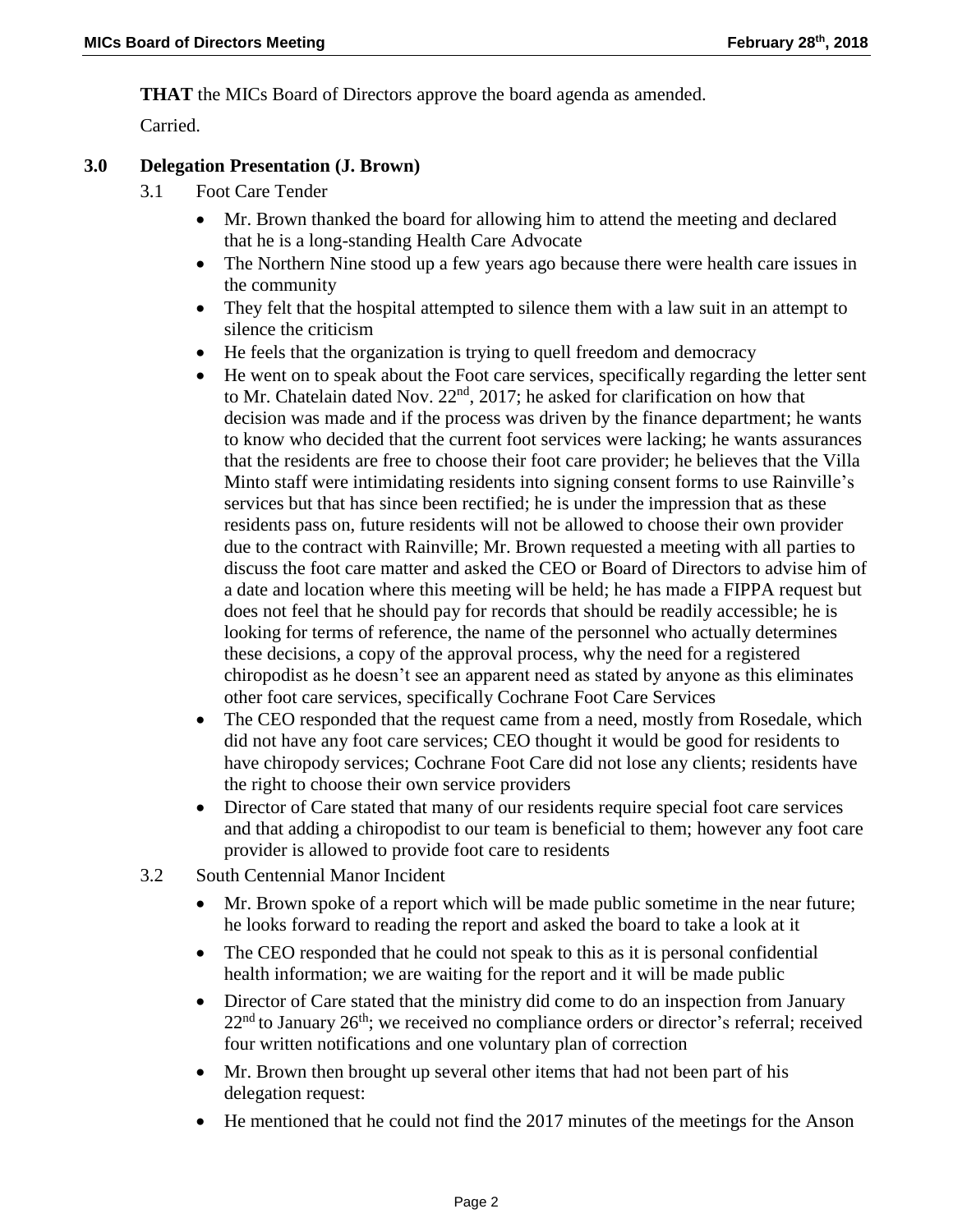**THAT** the MICs Board of Directors approve the board agenda as amended.

Carried.

## **3.0 Delegation Presentation (J. Brown)**

- 3.1 Foot Care Tender
	- Mr. Brown thanked the board for allowing him to attend the meeting and declared that he is a long-standing Health Care Advocate
	- The Northern Nine stood up a few years ago because there were health care issues in the community
	- They felt that the hospital attempted to silence them with a law suit in an attempt to silence the criticism
	- He feels that the organization is trying to quell freedom and democracy
	- He went on to speak about the Foot care services, specifically regarding the letter sent to Mr. Chatelain dated Nov.  $22<sup>nd</sup>$ ,  $2017$ ; he asked for clarification on how that decision was made and if the process was driven by the finance department; he wants to know who decided that the current foot services were lacking; he wants assurances that the residents are free to choose their foot care provider; he believes that the Villa Minto staff were intimidating residents into signing consent forms to use Rainville's services but that has since been rectified; he is under the impression that as these residents pass on, future residents will not be allowed to choose their own provider due to the contract with Rainville; Mr. Brown requested a meeting with all parties to discuss the foot care matter and asked the CEO or Board of Directors to advise him of a date and location where this meeting will be held; he has made a FIPPA request but does not feel that he should pay for records that should be readily accessible; he is looking for terms of reference, the name of the personnel who actually determines these decisions, a copy of the approval process, why the need for a registered chiropodist as he doesn't see an apparent need as stated by anyone as this eliminates other foot care services, specifically Cochrane Foot Care Services
	- The CEO responded that the request came from a need, mostly from Rosedale, which did not have any foot care services; CEO thought it would be good for residents to have chiropody services; Cochrane Foot Care did not lose any clients; residents have the right to choose their own service providers
	- Director of Care stated that many of our residents require special foot care services and that adding a chiropodist to our team is beneficial to them; however any foot care provider is allowed to provide foot care to residents
- 3.2 South Centennial Manor Incident
	- Mr. Brown spoke of a report which will be made public sometime in the near future; he looks forward to reading the report and asked the board to take a look at it
	- The CEO responded that he could not speak to this as it is personal confidential health information; we are waiting for the report and it will be made public
	- Director of Care stated that the ministry did come to do an inspection from January  $22<sup>nd</sup>$  to January  $26<sup>th</sup>$ ; we received no compliance orders or director's referral; received four written notifications and one voluntary plan of correction
	- Mr. Brown then brought up several other items that had not been part of his delegation request:
	- He mentioned that he could not find the 2017 minutes of the meetings for the Anson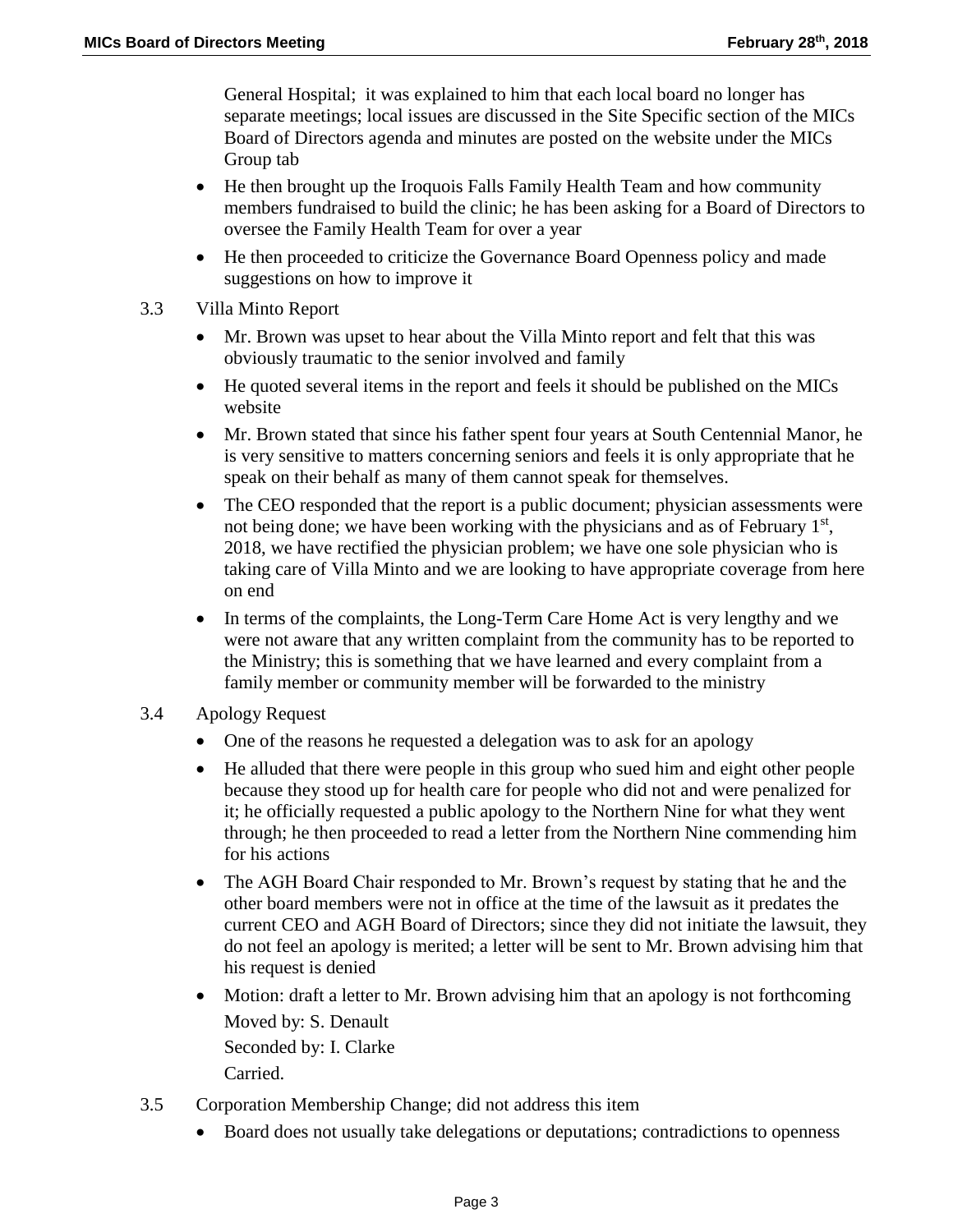General Hospital; it was explained to him that each local board no longer has separate meetings; local issues are discussed in the Site Specific section of the MICs Board of Directors agenda and minutes are posted on the website under the MICs Group tab

- He then brought up the Iroquois Falls Family Health Team and how community members fundraised to build the clinic; he has been asking for a Board of Directors to oversee the Family Health Team for over a year
- He then proceeded to criticize the Governance Board Openness policy and made suggestions on how to improve it
- 3.3 Villa Minto Report
	- Mr. Brown was upset to hear about the Villa Minto report and felt that this was obviously traumatic to the senior involved and family
	- He quoted several items in the report and feels it should be published on the MICs website
	- Mr. Brown stated that since his father spent four years at South Centennial Manor, he is very sensitive to matters concerning seniors and feels it is only appropriate that he speak on their behalf as many of them cannot speak for themselves.
	- The CEO responded that the report is a public document; physician assessments were not being done; we have been working with the physicians and as of February  $1<sup>st</sup>$ , 2018, we have rectified the physician problem; we have one sole physician who is taking care of Villa Minto and we are looking to have appropriate coverage from here on end
	- In terms of the complaints, the Long-Term Care Home Act is very lengthy and we were not aware that any written complaint from the community has to be reported to the Ministry; this is something that we have learned and every complaint from a family member or community member will be forwarded to the ministry
- 3.4 Apology Request
	- One of the reasons he requested a delegation was to ask for an apology
	- He alluded that there were people in this group who sued him and eight other people because they stood up for health care for people who did not and were penalized for it; he officially requested a public apology to the Northern Nine for what they went through; he then proceeded to read a letter from the Northern Nine commending him for his actions
	- The AGH Board Chair responded to Mr. Brown's request by stating that he and the other board members were not in office at the time of the lawsuit as it predates the current CEO and AGH Board of Directors; since they did not initiate the lawsuit, they do not feel an apology is merited; a letter will be sent to Mr. Brown advising him that his request is denied
	- Motion: draft a letter to Mr. Brown advising him that an apology is not forthcoming Moved by: S. Denault Seconded by: I. Clarke Carried.
- 3.5 Corporation Membership Change; did not address this item
	- Board does not usually take delegations or deputations; contradictions to openness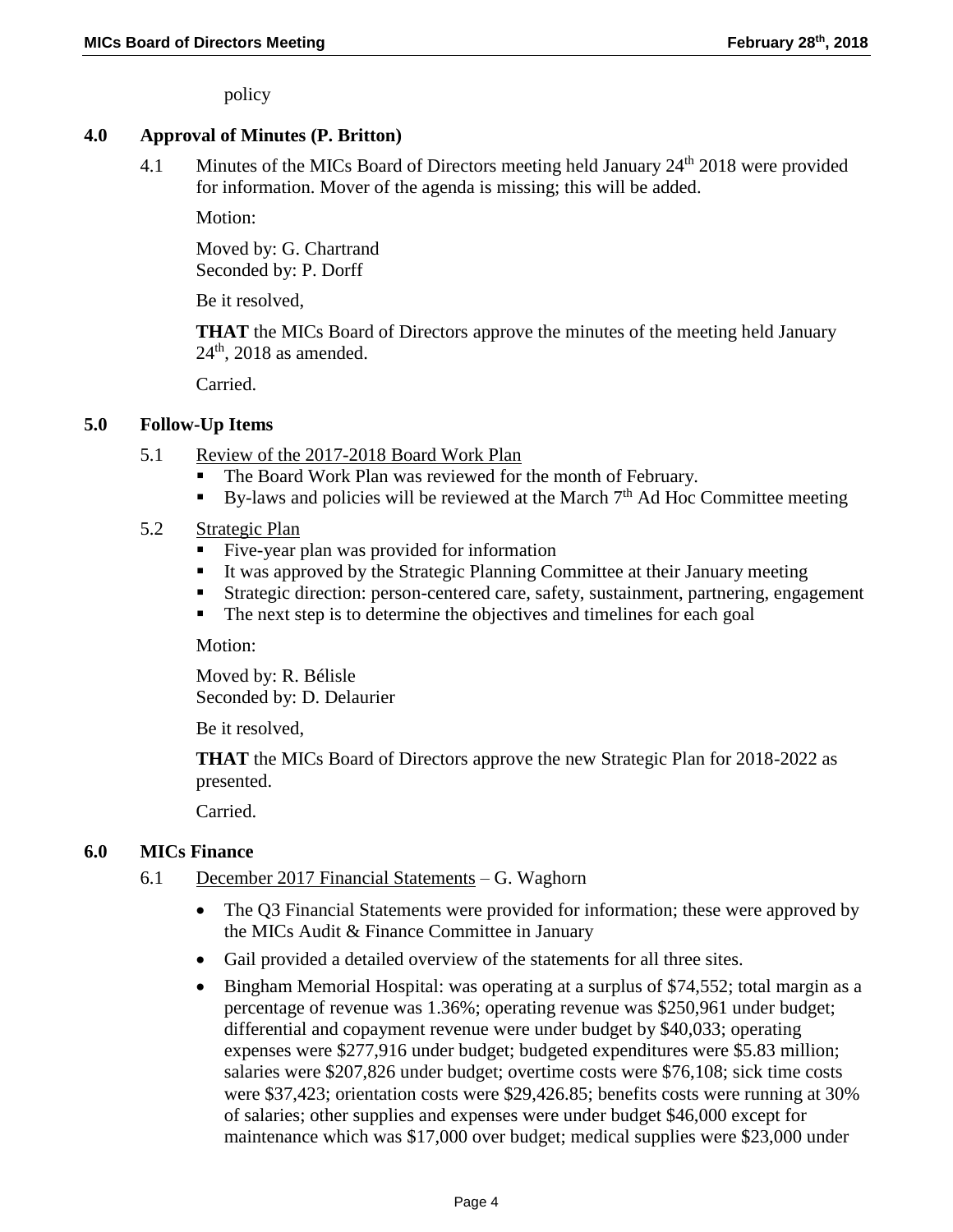policy

# **4.0 Approval of Minutes (P. Britton)**

4.1 Minutes of the MICs Board of Directors meeting held January 24<sup>th</sup> 2018 were provided for information. Mover of the agenda is missing; this will be added.

Motion:

Moved by: G. Chartrand Seconded by: P. Dorff

Be it resolved,

**THAT** the MICs Board of Directors approve the minutes of the meeting held January  $24<sup>th</sup>$ , 2018 as amended.

Carried.

### **5.0 Follow-Up Items**

- 5.1 Review of the 2017-2018 Board Work Plan
	- The Board Work Plan was reviewed for the month of February.
	- By-laws and policies will be reviewed at the March  $7<sup>th</sup>$  Ad Hoc Committee meeting
- 5.2 Strategic Plan
	- Five-year plan was provided for information
	- It was approved by the Strategic Planning Committee at their January meeting
	- Strategic direction: person-centered care, safety, sustainment, partnering, engagement
	- The next step is to determine the objectives and timelines for each goal

Motion:

Moved by: R. Bélisle Seconded by: D. Delaurier

Be it resolved,

**THAT** the MICs Board of Directors approve the new Strategic Plan for 2018-2022 as presented.

Carried.

#### **6.0 MICs Finance**

- 6.1 December 2017 Financial Statements G. Waghorn
	- The O3 Financial Statements were provided for information; these were approved by the MICs Audit & Finance Committee in January
	- Gail provided a detailed overview of the statements for all three sites.
	- Bingham Memorial Hospital: was operating at a surplus of \$74,552; total margin as a percentage of revenue was 1.36%; operating revenue was \$250,961 under budget; differential and copayment revenue were under budget by \$40,033; operating expenses were \$277,916 under budget; budgeted expenditures were \$5.83 million; salaries were \$207,826 under budget; overtime costs were \$76,108; sick time costs were \$37,423; orientation costs were \$29,426.85; benefits costs were running at 30% of salaries; other supplies and expenses were under budget \$46,000 except for maintenance which was \$17,000 over budget; medical supplies were \$23,000 under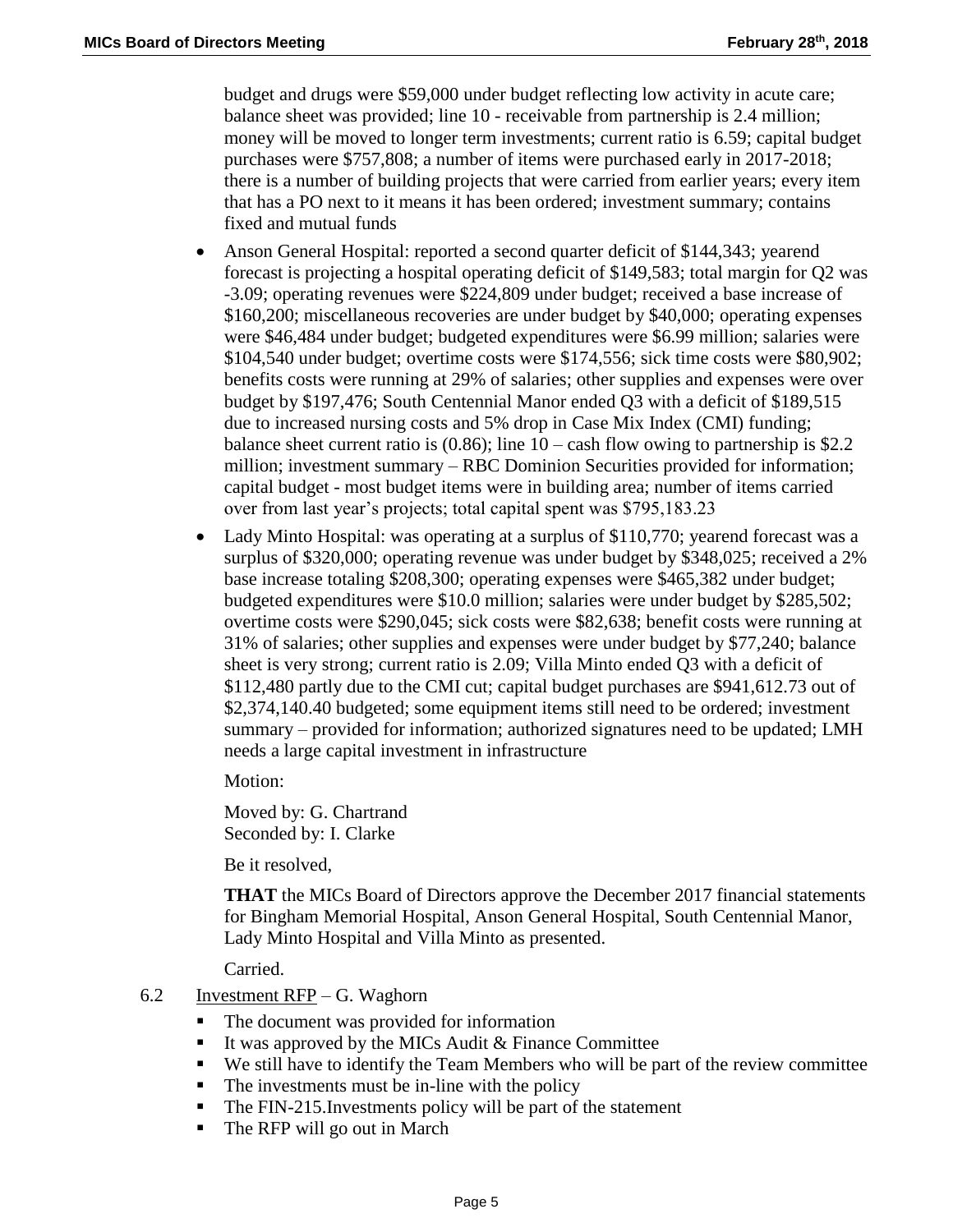budget and drugs were \$59,000 under budget reflecting low activity in acute care; balance sheet was provided; line 10 - receivable from partnership is 2.4 million; money will be moved to longer term investments; current ratio is 6.59; capital budget purchases were \$757,808; a number of items were purchased early in 2017-2018; there is a number of building projects that were carried from earlier years; every item that has a PO next to it means it has been ordered; investment summary; contains fixed and mutual funds

- Anson General Hospital: reported a second quarter deficit of \$144,343; yearend forecast is projecting a hospital operating deficit of \$149,583; total margin for Q2 was -3.09; operating revenues were \$224,809 under budget; received a base increase of \$160,200; miscellaneous recoveries are under budget by \$40,000; operating expenses were \$46,484 under budget; budgeted expenditures were \$6.99 million; salaries were \$104,540 under budget; overtime costs were \$174,556; sick time costs were \$80,902; benefits costs were running at 29% of salaries; other supplies and expenses were over budget by \$197,476; South Centennial Manor ended Q3 with a deficit of \$189,515 due to increased nursing costs and 5% drop in Case Mix Index (CMI) funding; balance sheet current ratio is  $(0.86)$ ; line  $10 - \cosh f$  flow owing to partnership is \$2.2 million; investment summary – RBC Dominion Securities provided for information; capital budget - most budget items were in building area; number of items carried over from last year's projects; total capital spent was \$795,183.23
- Lady Minto Hospital: was operating at a surplus of \$110,770; yearend forecast was a surplus of \$320,000; operating revenue was under budget by \$348,025; received a 2% base increase totaling \$208,300; operating expenses were \$465,382 under budget; budgeted expenditures were \$10.0 million; salaries were under budget by \$285,502; overtime costs were \$290,045; sick costs were \$82,638; benefit costs were running at 31% of salaries; other supplies and expenses were under budget by \$77,240; balance sheet is very strong; current ratio is 2.09; Villa Minto ended Q3 with a deficit of \$112,480 partly due to the CMI cut; capital budget purchases are \$941,612.73 out of \$2,374,140.40 budgeted; some equipment items still need to be ordered; investment summary – provided for information; authorized signatures need to be updated; LMH needs a large capital investment in infrastructure

Motion:

Moved by: G. Chartrand Seconded by: I. Clarke

Be it resolved,

**THAT** the MICs Board of Directors approve the December 2017 financial statements for Bingham Memorial Hospital, Anson General Hospital, South Centennial Manor, Lady Minto Hospital and Villa Minto as presented.

Carried.

#### 6.2 Investment  $RFP - G$ . Waghorn

- The document was provided for information
- It was approved by the MICs Audit  $&$  Finance Committee
- We still have to identify the Team Members who will be part of the review committee
- $\blacksquare$  The investments must be in-line with the policy
- The FIN-215. Investments policy will be part of the statement
- The RFP will go out in March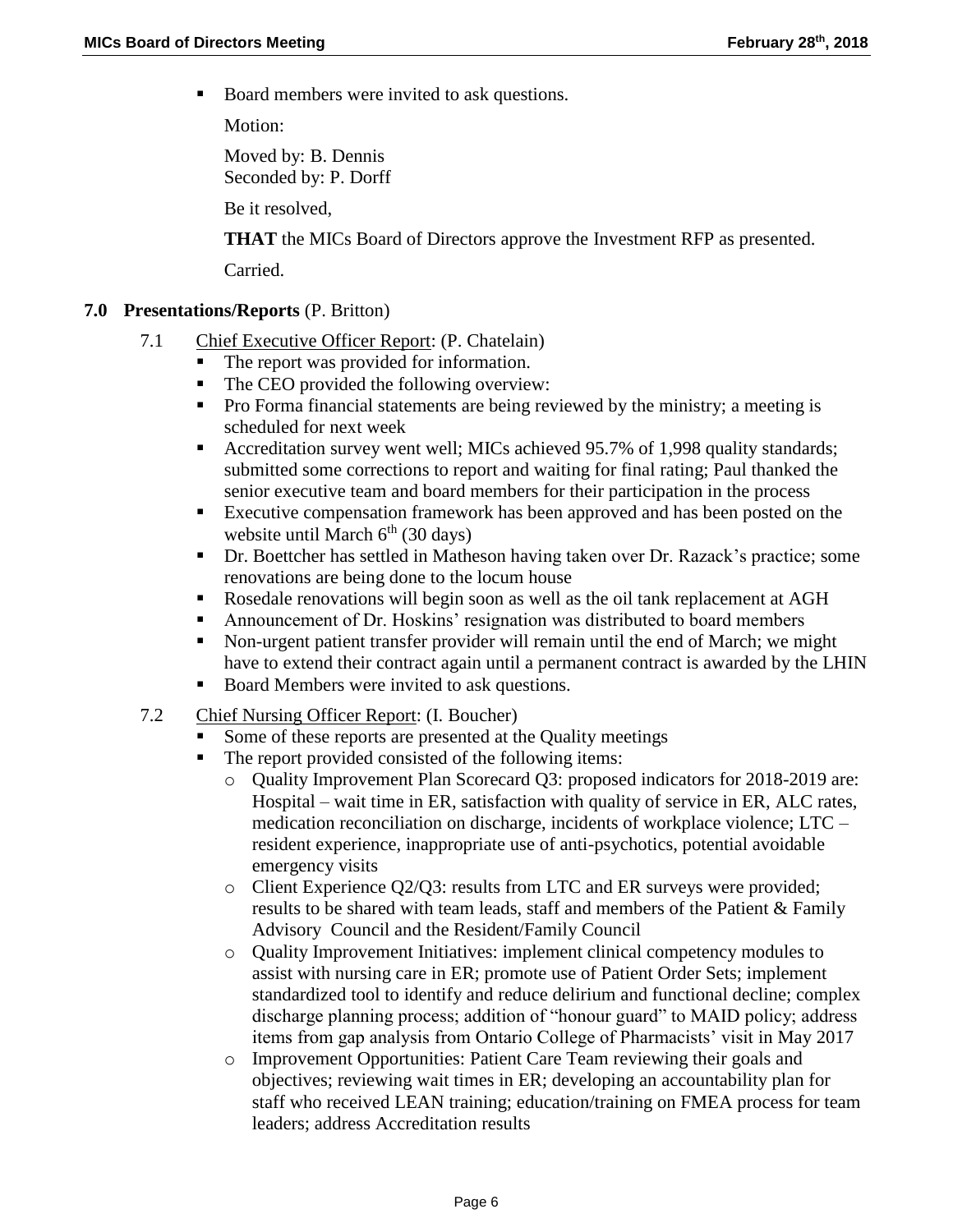Board members were invited to ask questions.

Motion:

Moved by: B. Dennis Seconded by: P. Dorff

Be it resolved,

**THAT** the MICs Board of Directors approve the Investment RFP as presented.

Carried.

### **7.0 Presentations/Reports** (P. Britton)

- 7.1 Chief Executive Officer Report: (P. Chatelain)
	- The report was provided for information.
	- The CEO provided the following overview:
	- **Pro Forma financial statements are being reviewed by the ministry; a meeting is** scheduled for next week
	- Accreditation survey went well; MICs achieved 95.7% of 1,998 quality standards; submitted some corrections to report and waiting for final rating; Paul thanked the senior executive team and board members for their participation in the process
	- Executive compensation framework has been approved and has been posted on the website until March  $6<sup>th</sup>$  (30 days)
	- Dr. Boettcher has settled in Matheson having taken over Dr. Razack's practice; some renovations are being done to the locum house
	- Rosedale renovations will begin soon as well as the oil tank replacement at AGH
	- Announcement of Dr. Hoskins' resignation was distributed to board members
	- Non-urgent patient transfer provider will remain until the end of March; we might have to extend their contract again until a permanent contract is awarded by the LHIN
	- Board Members were invited to ask questions.
- 7.2 Chief Nursing Officer Report: (I. Boucher)
	- Some of these reports are presented at the Quality meetings
	- The report provided consisted of the following items:
		- o Quality Improvement Plan Scorecard Q3: proposed indicators for 2018-2019 are: Hospital – wait time in ER, satisfaction with quality of service in ER, ALC rates, medication reconciliation on discharge, incidents of workplace violence; LTC – resident experience, inappropriate use of anti-psychotics, potential avoidable emergency visits
		- $\circ$  Client Experience Q2/Q3: results from LTC and ER surveys were provided; results to be shared with team leads, staff and members of the Patient  $\&$  Family Advisory Council and the Resident/Family Council
		- o Quality Improvement Initiatives: implement clinical competency modules to assist with nursing care in ER; promote use of Patient Order Sets; implement standardized tool to identify and reduce delirium and functional decline; complex discharge planning process; addition of "honour guard" to MAID policy; address items from gap analysis from Ontario College of Pharmacists' visit in May 2017
		- o Improvement Opportunities: Patient Care Team reviewing their goals and objectives; reviewing wait times in ER; developing an accountability plan for staff who received LEAN training; education/training on FMEA process for team leaders; address Accreditation results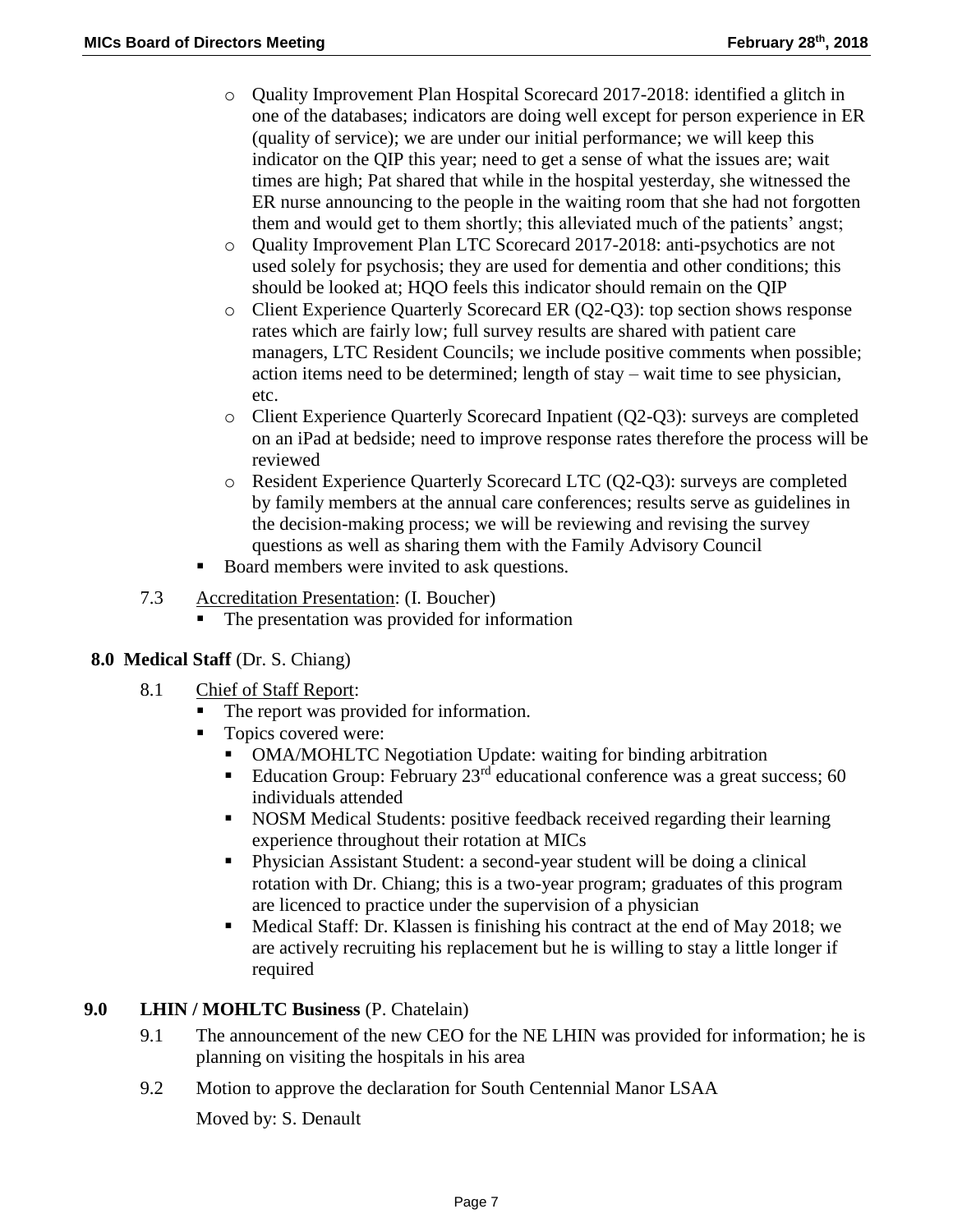- o Quality Improvement Plan Hospital Scorecard 2017-2018: identified a glitch in one of the databases; indicators are doing well except for person experience in ER (quality of service); we are under our initial performance; we will keep this indicator on the QIP this year; need to get a sense of what the issues are; wait times are high; Pat shared that while in the hospital yesterday, she witnessed the ER nurse announcing to the people in the waiting room that she had not forgotten them and would get to them shortly; this alleviated much of the patients' angst;
- o Quality Improvement Plan LTC Scorecard 2017-2018: anti-psychotics are not used solely for psychosis; they are used for dementia and other conditions; this should be looked at; HQO feels this indicator should remain on the QIP
- o Client Experience Quarterly Scorecard ER (Q2-Q3): top section shows response rates which are fairly low; full survey results are shared with patient care managers, LTC Resident Councils; we include positive comments when possible; action items need to be determined; length of stay – wait time to see physician, etc.
- o Client Experience Quarterly Scorecard Inpatient (Q2-Q3): surveys are completed on an iPad at bedside; need to improve response rates therefore the process will be reviewed
- o Resident Experience Quarterly Scorecard LTC (Q2-Q3): surveys are completed by family members at the annual care conferences; results serve as guidelines in the decision-making process; we will be reviewing and revising the survey questions as well as sharing them with the Family Advisory Council
- Board members were invited to ask questions.

## 7.3 Accreditation Presentation: (I. Boucher)

The presentation was provided for information

# **8.0 Medical Staff** (Dr. S. Chiang)

- 8.1 Chief of Staff Report:
	- The report was provided for information.
	- Topics covered were:
		- OMA/MOHLTC Negotiation Update: waiting for binding arbitration
		- Education Group: February  $23<sup>rd</sup>$  educational conference was a great success; 60 individuals attended
		- NOSM Medical Students: positive feedback received regarding their learning experience throughout their rotation at MICs
		- Physician Assistant Student: a second-year student will be doing a clinical rotation with Dr. Chiang; this is a two-year program; graduates of this program are licenced to practice under the supervision of a physician
		- Medical Staff: Dr. Klassen is finishing his contract at the end of May 2018; we are actively recruiting his replacement but he is willing to stay a little longer if required

## **9.0 LHIN / MOHLTC Business** (P. Chatelain)

- 9.1 The announcement of the new CEO for the NE LHIN was provided for information; he is planning on visiting the hospitals in his area
- 9.2 Motion to approve the declaration for South Centennial Manor LSAA

Moved by: S. Denault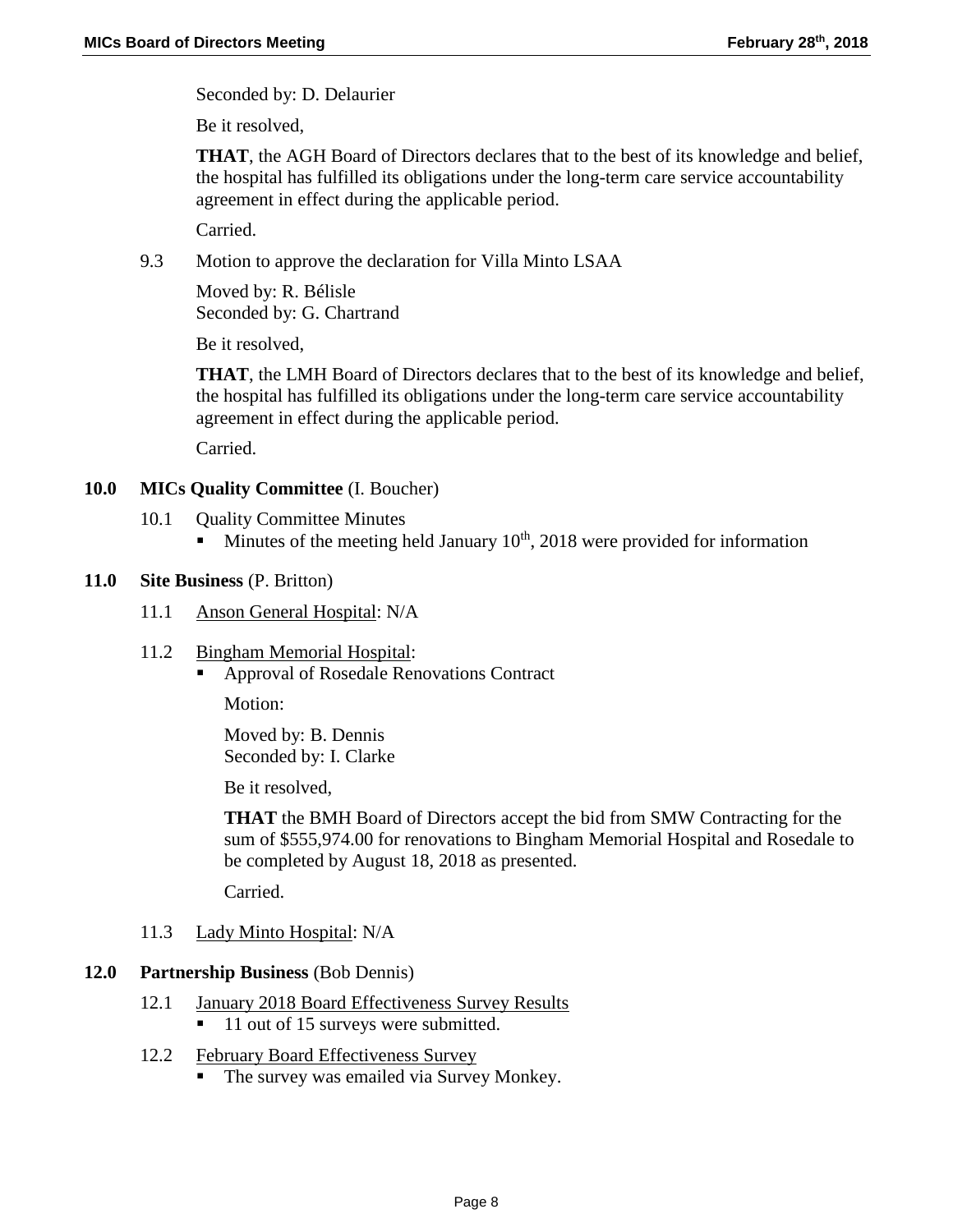Seconded by: D. Delaurier

Be it resolved,

**THAT**, the AGH Board of Directors declares that to the best of its knowledge and belief, the hospital has fulfilled its obligations under the long-term care service accountability agreement in effect during the applicable period.

Carried.

9.3 Motion to approve the declaration for Villa Minto LSAA

Moved by: R. Bélisle Seconded by: G. Chartrand

Be it resolved,

**THAT**, the LMH Board of Directors declares that to the best of its knowledge and belief, the hospital has fulfilled its obligations under the long-term care service accountability agreement in effect during the applicable period.

Carried.

### **10.0 MICs Quality Committee** (I. Boucher)

- 10.1 Ouality Committee Minutes
	- Minutes of the meeting held January  $10<sup>th</sup>$ , 2018 were provided for information

#### **11.0 Site Business** (P. Britton)

- 11.1 Anson General Hospital: N/A
- 11.2 Bingham Memorial Hospital:
	- Approval of Rosedale Renovations Contract

Motion:

Moved by: B. Dennis Seconded by: I. Clarke

Be it resolved,

**THAT** the BMH Board of Directors accept the bid from SMW Contracting for the sum of \$555,974.00 for renovations to Bingham Memorial Hospital and Rosedale to be completed by August 18, 2018 as presented.

Carried.

11.3 Lady Minto Hospital: N/A

#### **12.0 Partnership Business** (Bob Dennis)

- 12.1 January 2018 Board Effectiveness Survey Results ■ 11 out of 15 surveys were submitted.
- 12.2 February Board Effectiveness Survey
	- The survey was emailed via Survey Monkey.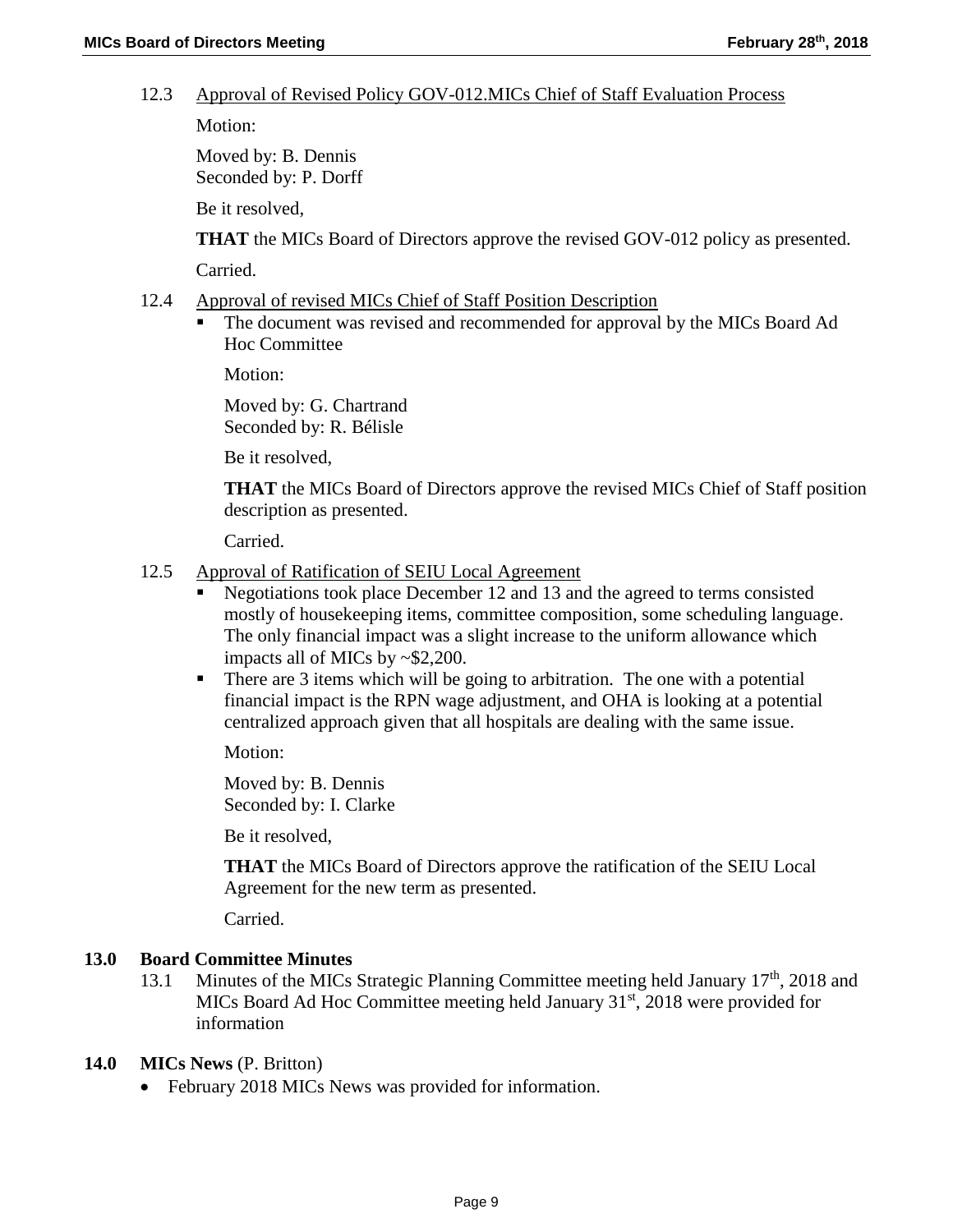#### 12.3 Approval of Revised Policy GOV-012.MICs Chief of Staff Evaluation Process

Motion:

Moved by: B. Dennis Seconded by: P. Dorff

Be it resolved,

**THAT** the MICs Board of Directors approve the revised GOV-012 policy as presented.

Carried.

- 12.4 Approval of revised MICs Chief of Staff Position Description
	- The document was revised and recommended for approval by the MICs Board Ad Hoc Committee

Motion:

Moved by: G. Chartrand Seconded by: R. Bélisle

Be it resolved,

**THAT** the MICs Board of Directors approve the revised MICs Chief of Staff position description as presented.

Carried.

- 12.5 Approval of Ratification of SEIU Local Agreement
	- Negotiations took place December 12 and 13 and the agreed to terms consisted mostly of housekeeping items, committee composition, some scheduling language. The only financial impact was a slight increase to the uniform allowance which impacts all of MICs by ~\$2,200.
	- There are 3 items which will be going to arbitration. The one with a potential financial impact is the RPN wage adjustment, and OHA is looking at a potential centralized approach given that all hospitals are dealing with the same issue.

Motion:

Moved by: B. Dennis Seconded by: I. Clarke

Be it resolved,

**THAT** the MICs Board of Directors approve the ratification of the SEIU Local Agreement for the new term as presented.

Carried.

#### **13.0 Board Committee Minutes**

13.1 Minutes of the MICs Strategic Planning Committee meeting held January 17<sup>th</sup>, 2018 and MICs Board Ad Hoc Committee meeting held January  $31<sup>st</sup>$ , 2018 were provided for information

#### **14.0 MICs News** (P. Britton)

• February 2018 MICs News was provided for information.